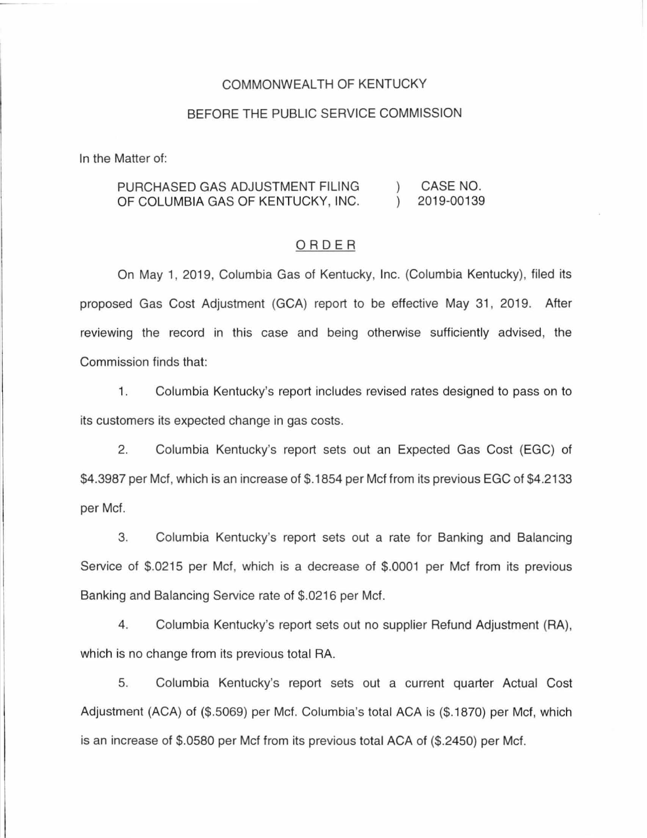### COMMONWEALTH OF KENTUCKY

## BEFORE THE PUBLIC SERVICE COMMISSION

In the Matter of:

#### PURCHASED GAS ADJUSTMENT FILING CASE NO. 2019-00139 OF COLUMBIA GAS OF KENTUCKY, INC.  $\left( \right)$

### ORDER

On May 1, 2019, Columbia Gas of Kentucky, Inc. (Columbia Kentucky), filed its proposed Gas Cost Adjustment (GCA) report to be effective May 31, 2019. After reviewing the record in this case and being otherwise sufficiently advised, the Commission finds that:

1. Columbia Kentucky's report includes revised rates designed to pass on to its customers its expected change in gas costs.

2. Columbia Kentucky's report sets out an Expected Gas Cost (EGC) of \$4.3987 per Met, which is an increase of \$.1854 per Met from its previous EGC of \$4.2133 per Met.

3. Columbia Kentucky's report sets out a rate for Banking and Balancing Service of \$.0215 per Mcf, which is a decrease of \$.0001 per Mcf from its previous Banking and Balancing Service rate of \$.0216 per Met.

4. Columbia Kentucky's report sets out no supplier Refund Adjustment (RA), which is no change from its previous total RA.

5. Columbia Kentucky's report sets out a current quarter Actual Cost Adjustment (ACA) of (\$.5069) per Met. Columbia's total ACA is (\$.1870) per Met, which is an increase of \$.0580 per Met from its previous total ACA of (\$.2450) per Met.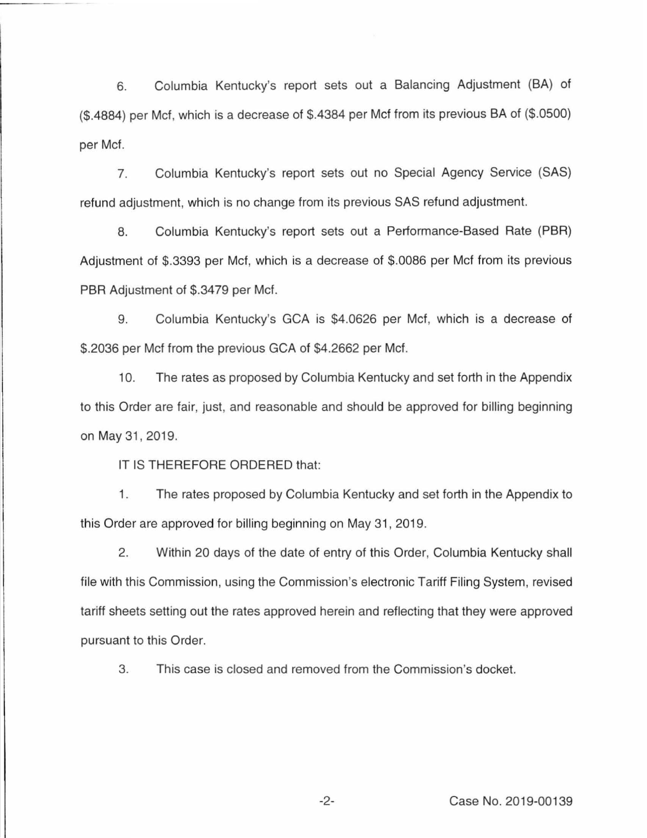6. Columbia Kentucky's report sets out a Balancing Adjustment (BA) of (\$.4884) per Met, which is a decrease of \$.4384 per Met from its previous BA of (\$.0500) per Met.

7. Columbia Kentucky's report sets out no Special Agency Service (SAS) refund adjustment, which is no change from its previous SAS refund adjustment.

8. Columbia Kentucky's report sets out a Performance-Based Rate (PBR) Adjustment of \$.3393 per Met, which is a decrease of \$.0086 per Met from its previous PBR Adjustment of \$.3479 per Met.

9. Columbia Kentucky's GCA is \$4.0626 per Met, which is a decrease of \$.2036 per Met from the previous GCA of \$4.2662 per Mcf.

10. The rates as proposed by Columbia Kentucky and set forth in the Appendix to this Order are fair, just, and reasonable and should be approved for billing beginning on May 31, 2019.

IT IS THEREFORE ORDERED that:

1. The rates proposed by Columbia Kentucky and set forth in the Appendix to this Order are approved for billing beginning on May 31 , 2019.

2. Within 20 days of the date of entry of this Order, Columbia Kentucky shall file with this Commission, using the Commission's electronic Tariff Filing System, revised tariff sheets setting out the rates approved herein and reflecting that they were approved pursuant to this Order.

3. This case is closed and removed from the Commission's docket.

-2- Case No. 2019-00139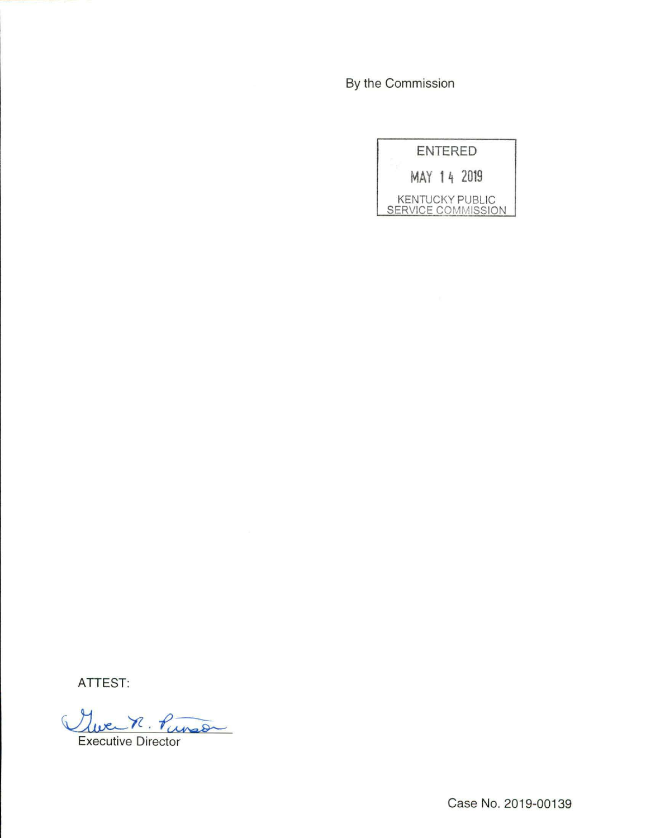By the Commission

| ENTERED                                      |
|----------------------------------------------|
| MAY 14 2019                                  |
| <b>KENTUCKY PUBLIC</b><br>SERVICE COMMISSION |

**ATTEST:** 

Ywen R. Punson Executive Director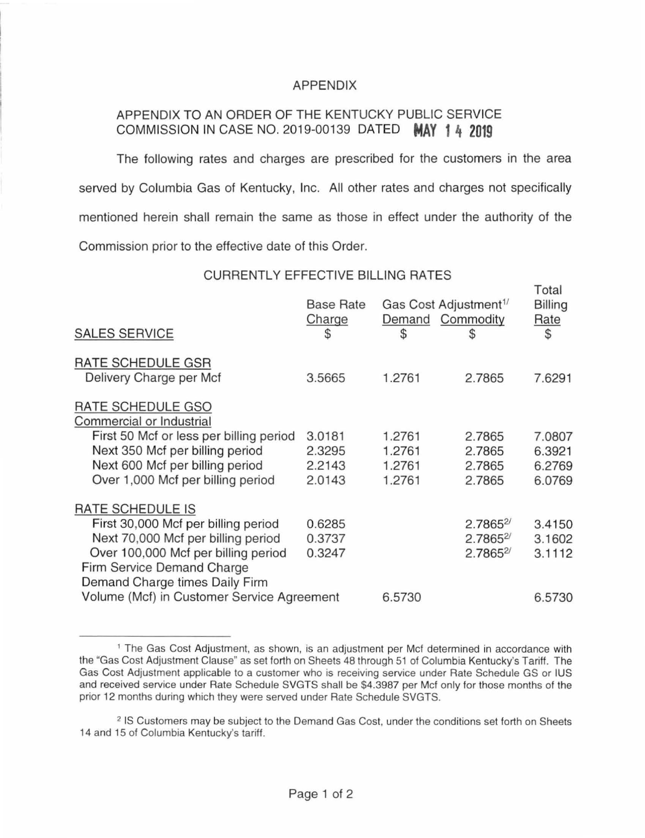## APPENDIX

# APPENDIX TO AN ORDER OF THE KENTUCKY PUBLIC SERVICE COMMISSION IN CASE NO. 2019-00139 DATED **MAY 1 4 2019**

The following rates and charges are prescribed for the customers in the area served by Columbia Gas of Kentucky, Inc. All other rates and charges not specifically mentioned herein shall remain the same as those in effect under the authority of the Commission prior to the effective date of this Order.

CURRENTLY EFFECTIVE BILLING RATES

 $\tau$  to a

| <b>SALES SERVICE</b>                                                                                                                                                                                 | <b>Base Rate</b><br>Charge<br>\$     | Gas Cost Adjustment <sup>1/</sup><br>Demand Commodity<br>\$ | S                                           | Total<br><b>Billing</b><br><b>Rate</b><br>$\mathfrak{S}$ |
|------------------------------------------------------------------------------------------------------------------------------------------------------------------------------------------------------|--------------------------------------|-------------------------------------------------------------|---------------------------------------------|----------------------------------------------------------|
| RATE SCHEDULE GSR<br>Delivery Charge per Mcf                                                                                                                                                         | 3.5665                               | 1.2761                                                      | 2.7865                                      | 7.6291                                                   |
| RATE SCHEDULE GSO<br>Commercial or Industrial<br>First 50 Mcf or less per billing period<br>Next 350 Mcf per billing period<br>Next 600 Mcf per billing period<br>Over 1,000 Mcf per billing period  | 3.0181<br>2.3295<br>2.2143<br>2.0143 | 1.2761<br>1.2761<br>1.2761<br>1.2761                        | 2.7865<br>2.7865<br>2.7865<br>2.7865        | 7.0807<br>6.3921<br>6.2769<br>6.0769                     |
| RATE SCHEDULE IS<br>First 30,000 Mcf per billing period<br>Next 70,000 Mcf per billing period<br>Over 100,000 Mcf per billing period<br>Firm Service Demand Charge<br>Demand Charge times Daily Firm | 0.6285<br>0.3737<br>0.3247           |                                                             | $2.7865^{2/3}$<br>2.78652<br>$2.7865^{2/3}$ | 3.4150<br>3.1602<br>3.1112                               |
| Volume (Mcf) in Customer Service Agreement                                                                                                                                                           |                                      | 6.5730                                                      |                                             | 6.5730                                                   |
|                                                                                                                                                                                                      |                                      |                                                             |                                             |                                                          |

<sup>&</sup>lt;sup>1</sup> The Gas Cost Adjustment, as shown, is an adjustment per Mcf determined in accordance with the "Gas Cost Adjustment Clause" as set forth on Sheets 48 through 51 of Columbia Kentucky's Tariff. The Gas Cost Adjustment applicable to a customer who is receiving service under Rate Schedule GS or IUS and received service under Rate Schedule SVGTS shall be \$4.3987 per Met only for those months of the prior 12 months during which they were served under Rate Schedule SVGTS.

<sup>2</sup> IS Customers may be subject to the Demand Gas Cost, under the conditions set forth on Sheets 14 and 15 of Columbia Kentucky's tariff.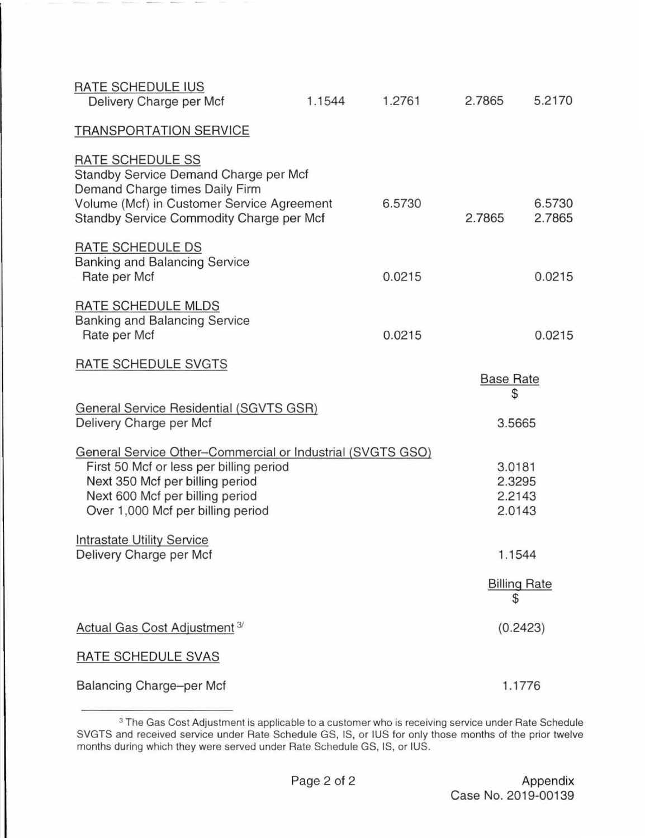| RATE SCHEDULE IUS<br>Delivery Charge per Mcf                                                                                                                                                                     | 1.1544 | 1.2761 | 2.7865                               | 5.2170              |
|------------------------------------------------------------------------------------------------------------------------------------------------------------------------------------------------------------------|--------|--------|--------------------------------------|---------------------|
| <b>TRANSPORTATION SERVICE</b>                                                                                                                                                                                    |        |        |                                      |                     |
| RATE SCHEDULE SS<br>Standby Service Demand Charge per Mcf<br>Demand Charge times Daily Firm<br>Volume (Mcf) in Customer Service Agreement<br>Standby Service Commodity Charge per Mcf                            |        | 6.5730 | 2.7865                               | 6.5730<br>2.7865    |
| RATE SCHEDULE DS<br><b>Banking and Balancing Service</b><br>Rate per Mcf                                                                                                                                         |        | 0.0215 |                                      | 0.0215              |
| RATE SCHEDULE MLDS<br><b>Banking and Balancing Service</b><br>Rate per Mcf                                                                                                                                       |        | 0.0215 |                                      | 0.0215              |
| RATE SCHEDULE SVGTS                                                                                                                                                                                              |        |        | <b>Base Rate</b><br>\$               |                     |
| General Service Residential (SGVTS GSR)<br>Delivery Charge per Mcf                                                                                                                                               |        |        | 3.5665                               |                     |
| General Service Other-Commercial or Industrial (SVGTS GSO)<br>First 50 Mcf or less per billing period<br>Next 350 Mcf per billing period<br>Next 600 Mcf per billing period<br>Over 1,000 Mcf per billing period |        |        | 3.0181<br>2.3295<br>2.2143<br>2.0143 |                     |
| <b>Intrastate Utility Service</b><br>Delivery Charge per Mcf                                                                                                                                                     |        |        | 1.1544                               |                     |
|                                                                                                                                                                                                                  |        |        | \$                                   | <b>Billing Rate</b> |
| Actual Gas Cost Adjustment <sup>3/</sup>                                                                                                                                                                         |        |        |                                      | (0.2423)            |
| RATE SCHEDULE SVAS                                                                                                                                                                                               |        |        |                                      |                     |
| <b>Balancing Charge-per Mcf</b>                                                                                                                                                                                  |        |        |                                      | 1.1776              |

 $3$  The Gas Cost Adjustment is applicable to a customer who is receiving service under Rate Schedule SVGTS and received service under Rate Schedule GS, IS, or IUS for only those months of the prior twelve months during which they were served under Rate Schedule GS, IS, or IUS.